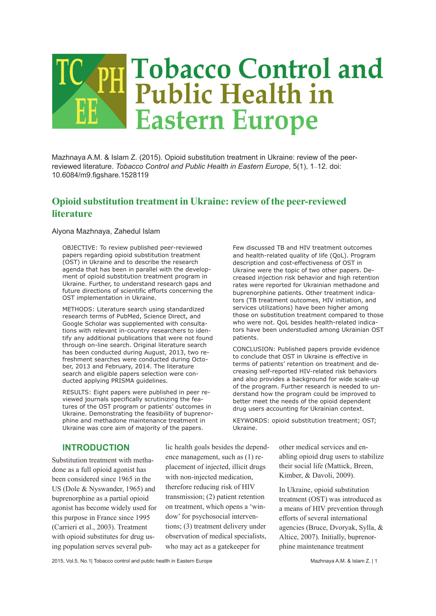# **Tobacco Control and Public Health in Eastern Europe**

Mazhnaya A.M. & Islam Z. (2015). Opioid substitution treatment in Ukraine: review of the peerreviewed literature. *Tobacco Control and Public Health in Eastern Europe*, 5(1), 1–12. doi: 10.6084/m9.figshare.1528119

# **Opioid substitution treatment in Ukraine: review of the peer-reviewed literature**

Alyona Mazhnaya, Zahedul Islam

OBJECTIVE: To review published peer-reviewed papers regarding opioid substitution treatment (OST) in Ukraine and to describe the research agenda that has been in parallel with the development of opioid substitution treatment program in Ukraine. Further, to understand research gaps and future directions of scientific efforts concerning the OST implementation in Ukraine.

METHODS: Literature search using standardized research terms of PubMed, Science Direct, and Google Scholar was supplemented with consultations with relevant in-country researchers to identify any additional publications that were not found through on-line search. Original literature search has been conducted during August, 2013, two refreshment searches were conducted during October, 2013 and February, 2014. The literature search and eligible papers selection were conducted applying PRISMA guidelines.

RESULTS: Eight papers were published in peer reviewed journals specifically scrutinizing the features of the OST program or patients' outcomes in Ukraine. Demonstrating the feasibility of buprenorphine and methadone maintenance treatment in Ukraine was core aim of majority of the papers.

Few discussed TB and HIV treatment outcomes and health-related quality of life (QoL). Program description and cost-effectiveness of OST in Ukraine were the topic of two other papers. Decreased injection risk behavior and high retention rates were reported for Ukrainian methadone and buprenorphine patients. Other treatment indicators (TB treatment outcomes, HIV initiation, and services utilizations) have been higher among those on substitution treatment compared to those who were not. QoL besides health-related indicators have been understudied among Ukrainian OST patients.

CONCLUSION: Published papers provide evidence to conclude that OST in Ukraine is effective in terms of patients' retention on treatment and decreasing self-reported HIV-related risk behaviors and also provides a background for wide scale-up of the program. Further research is needed to understand how the program could be improved to better meet the needs of the opioid dependent drug users accounting for Ukrainian context.

KEYWORDS: opioid substitution treatment; OST; Ukraine.

#### **IntroductIon**

Substitution treatment with methadone as a full opioid agonist has been considered since 1965 in the US (Dole & Nyswander, 1965) and buprenorphine as a partial opioid agonist has become widely used for this purpose in France since 1995 (Carrieri et al., 2003). Treatment with opioid substitutes for drug using population serves several public health goals besides the dependence management, such as (1) replacement of injected, illicit drugs with non-injected medication, therefore reducing risk of HIV transmission; (2) patient retention on treatment, which opens a 'window' for psychosocial interventions; (3) treatment delivery under observation of medical specialists, who may act as a gatekeeper for

other medical services and enabling opioid drug users to stabilize their social life (Mattick, Breen, Kimber, & Davoli, 2009).

In Ukraine, opioid substitution treatment (OST) was introduced as a means of HIV prevention through efforts of several international agencies (Bruce, Dvoryak, Sylla, & Altice, 2007). Initially, buprenorphine maintenance treatment

2015, Vol.5, No.1| Tobacco control and public health in Eastern Europe Mazhnaya A.M. & Islam Z. | 1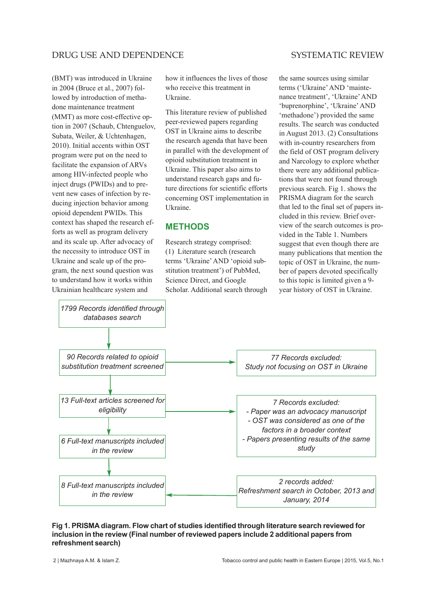#### (BMT) was introduced in Ukraine in 2004 (Bruce et al., 2007) followed by introduction of methadone maintenance treatment (MMT) as more cost-effective option in 2007 (Schaub, Chtenguelov, Subata, Weiler, & Uchtenhagen, 2010). Initial accents within OST program were put on the need to facilitate the expansion of ARVs among HIV-infected people who inject drugs (PWIDs) and to prevent new cases of infection by reducing injection behavior among opioid dependent PWIDs. This context has shaped the research efforts as well as program delivery and its scale up. After advocacy of the necessity to introduce OST in Ukraine and scale up of the program, the next sound question was to understand how it works within Ukrainian healthcare system and

how it influences the lives of those who receive this treatment in Ukraine.

This literature review of published peer-reviewed papers regarding OST in Ukraine aims to describe the research agenda that have been in parallel with the development of opioid substitution treatment in Ukraine. This paper also aims to understand research gaps and future directions for scientific efforts concerning OST implementation in Ukraine.

#### **MethodS**

Research strategy comprised: (1) Literature search (research terms 'Ukraine'AND 'opioid substitution treatment') of PubMed, Science Direct, and Google Scholar. Additional search through

### SyStematic review

the same sources using similar terms ('Ukraine'AND 'maintenance treatment', 'Ukraine'AND 'buprenorphine', 'Ukraine'AND 'methadone') provided the same results. The search was conducted in August 2013. (2) Consultations with in-country researchers from the field of OST program delivery and Narcology to explore whether there were any additional publications that were not found through previous search. Fig 1. shows the PRISMA diagram for the search that led to the final set of papers included in this review. Brief overview of the search outcomes is provided in the Table 1. Numbers suggest that even though there are many publications that mention the topic of OST in Ukraine, the number of papers devoted specifically to this topic is limited given a 9 year history of OST in Ukraine.



#### **Fig 1. PrISMA diagram. Flow chart of studies identified through literature search reviewed for inclusion in the review (Final number of reviewed papers include 2 additional papers from refreshment search)**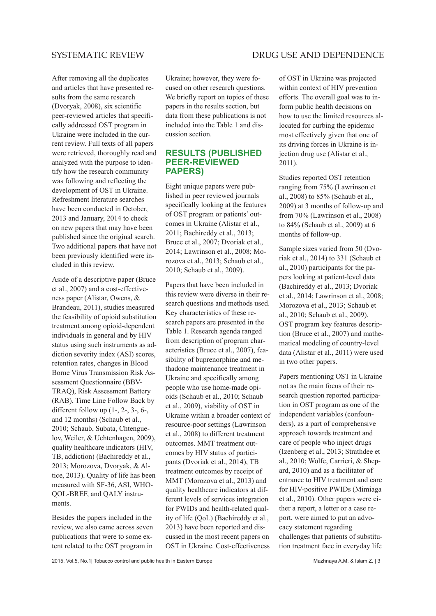After removing all the duplicates and articles that have presented results from the same research (Dvoryak, 2008), six scientific peer-reviewed articles that specifically addressed OST program in Ukraine were included in the current review. Full texts of all papers were retrieved, thoroughly read and analyzed with the purpose to identify how the research community was following and reflecting the development of OST in Ukraine. Refreshment literature searches have been conducted in October, 2013 and January, 2014 to check on new papers that may have been published since the original search. Two additional papers that have not been previously identified were included in this review.

Aside of a descriptive paper (Bruce et al., 2007) and a cost-effectiveness paper (Alistar, Owens, & Brandeau, 2011), studies measured the feasibility of opioid substitution treatment among opioid-dependent individuals in general and by HIV status using such instruments as addiction severity index (ASI) scores, retention rates, changes in Blood Borne Virus Transmission Risk Assessment Questionnaire (BBV-TRAQ), Risk Assessment Battery (RAB), Time Line Follow Back by different follow up  $(1, 2, 3, 6, 6)$ and 12 months) (Schaub et al., 2010; Schaub, Subata, Chtenguelov, Weiler, & Uchtenhagen, 2009), quality healthcare indicators (HIV, TB, addiction) (Bachireddy et al., 2013; Morozova, Dvoryak, & Altice, 2013). Quality of life has been measured with SF-36, ASI, WHO-QOL-BREF, and QALY instruments.

Besides the papers included in the review, we also came across seven publications that were to some extent related to the OST program in

Ukraine: however, they were focused on other research questions. We briefly report on topics of these papers in the results section, but data from these publications is not included into the Table 1 and discussion section.

#### **reSultS (PublIShed Peer-revIewed PAPerS)**

Eight unique papers were published in peer reviewed journals specifically looking at the features of OST program or patients' outcomes in Ukraine (Alistar et al., 2011; Bachireddy et al., 2013; Bruce et al., 2007; Dvoriak et al., 2014; Lawrinson et al., 2008; Morozova et al., 2013; Schaub et al., 2010; Schaub et al., 2009).

Papers that have been included in this review were diverse in their research questions and methods used. Key characteristics of these research papers are presented in the Table 1. Research agenda ranged from description of program characteristics (Bruce et al., 2007), feasibility of buprenorphine and methadone maintenance treatment in Ukraine and specifically among people who use home-made opioids (Schaub et al., 2010; Schaub et al., 2009), viability of OST in Ukraine within a broader context of resource-poor settings (Lawrinson et al., 2008) to different treatment outcomes. MMT treatment outcomes by HIV status of participants (Dvoriak et al., 2014), TB treatment outcomes by receipt of MMT (Morozova et al., 2013) and quality healthcare indicators at different levels of services integration for PWIDs and health-related quality of life (QoL) (Bachireddy et al., 2013) have been reported and discussed in the most recent papers on OST in Ukraine. Cost-effectiveness

of OST in Ukraine was projected within context of HIV prevention efforts. The overall goal was to inform public health decisions on how to use the limited resources allocated for curbing the epidemic most effectively given that one of its driving forces in Ukraine is injection drug use (Alistar et al., 2011).

Studies reported OST retention ranging from 75% (Lawrinson et al., 2008) to 85% (Schaub et al., 2009) at 3 months of follow-up and from 70% (Lawrinson et al., 2008) to 84% (Schaub et al., 2009) at 6 months of follow-up.

Sample sizes varied from 50 (Dvoriak et al., 2014) to 331 (Schaub et al., 2010) participants for the papers looking at patient-level data (Bachireddy et al., 2013; Dvoriak et al., 2014; Lawrinson et al., 2008; Morozova et al., 2013; Schaub et al., 2010; Schaub et al., 2009). OST program key features description (Bruce et al., 2007) and mathematical modeling of country-level data (Alistar et al., 2011) were used in two other papers.

Papers mentioning OST in Ukraine not as the main focus of their research question reported participation in OST program as one of the independent variables (confounders), as a part of comprehensive approach towards treatment and care of people who inject drugs (Izenberg et al., 2013; Strathdee et al., 2010; Wolfe, Carrieri, & Shepard, 2010) and as a facilitator of entrance to HIV treatment and care for HIV-positive PWIDs (Mimiaga et al., 2010). Other papers were either a report, a letter or a case report, were aimed to put an advocacy statement regarding challenges that patients of substitution treatment face in everyday life

### Drug uSe anD DepenDence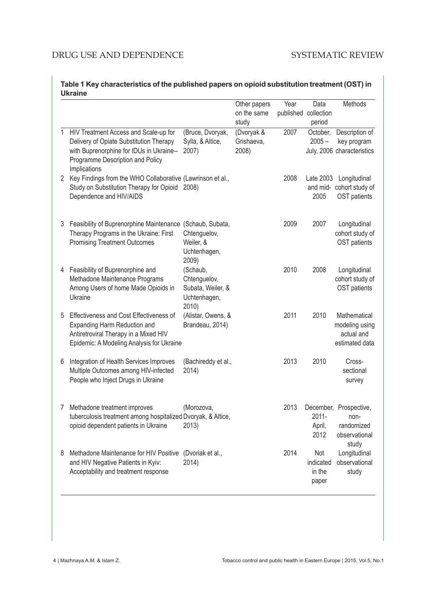| Table 1 Key characteristics of the published papers on opioid substitution treatment (OST) in |
|-----------------------------------------------------------------------------------------------|
| <b>Ukraine</b>                                                                                |

|              |                                                                                                                                                                                  |                                                                        | Other papers<br>on the same<br>study | Year | Data<br>published collection<br>period | Methods                                                                |
|--------------|----------------------------------------------------------------------------------------------------------------------------------------------------------------------------------|------------------------------------------------------------------------|--------------------------------------|------|----------------------------------------|------------------------------------------------------------------------|
| $\mathbf{1}$ | HIV Treatment Access and Scale-up for<br>Delivery of Opiate Substitution Therapy<br>with Buprenorphine for IDUs in Ukraine--<br>Programme Description and Policy<br>Implications | (Bruce, Dvoryak,<br>Sylla, & Altice,<br>2007)                          | (Dvoryak &<br>Grishaeva,<br>2008)    | 2007 | October,<br>$2005 -$                   | Description of<br>key program<br>July, 2006 characteristics            |
|              | 2 Key Findings from the WHO Collaborative (Lawrinson et al.,<br>Study on Substitution Therapy for Opioid 2008)<br>Dependence and HIV/AIDS                                        |                                                                        |                                      | 2008 | Late 2003<br>2005                      | Longitudinal<br>and mid- cohort study of<br>OST patients               |
|              | 3 Feasibility of Buprenorphine Maintenance (Schaub, Subata,<br>Therapy Programs in the Ukraine: First<br><b>Promising Treatment Outcomes</b>                                     | Chtenguelov,<br>Weiler, &<br>Uchtenhagen,<br>2009)                     |                                      | 2009 | 2007                                   | Longitudinal<br>cohort study of<br>OST patients                        |
|              | 4 Feasibility of Buprenorphine and<br>Methadone Maintenance Programs<br>Among Users of home Made Opioids in<br>Ukraine                                                           | (Schaub,<br>Chtenguelov,<br>Subata, Weiler, &<br>Uchtenhagen,<br>2010) |                                      | 2010 | 2008                                   | Longitudinal<br>cohort study of<br>OST patients                        |
| 5            | Effectiveness and Cost Effectiveness of<br>Expanding Harm Reduction and<br>Antiretroviral Therapy in a Mixed HIV<br>Epidemic: A Modeling Analysis for Ukraine                    | (Alistar, Owens, &<br>Brandeau, 2014)                                  |                                      | 2011 | 2010                                   | Mathematical<br>modeling using<br>actual and<br>estimated data         |
| 6            | Integration of Health Services Improves<br>Multiple Outcomes among HIV-infected<br>People who Inject Drugs in Ukraine                                                            | (Bachireddy et al.,<br>2014)                                           |                                      | 2013 | 2010                                   | Cross-<br>sectional<br>survey                                          |
| 7            | Methadone treatment improves<br>tuberculosis treatment among hospitalized Dvoryak, & Altice,<br>opioid dependent patients in Ukraine 2013)                                       | (Morozova,                                                             |                                      | 2013 | 2011-<br>April,<br>2012                | December, Prospective,<br>non-<br>randomized<br>observational<br>study |
| 8            | Methadone Maintenance for HIV Positive<br>and HIV Negative Patients in Kyiv:<br>Acceptability and treatment response                                                             | (Dvoriak et al.,<br>2014)                                              |                                      | 2014 | Not<br>indicated<br>in the<br>paper    | Longitudinal<br>observational<br>study                                 |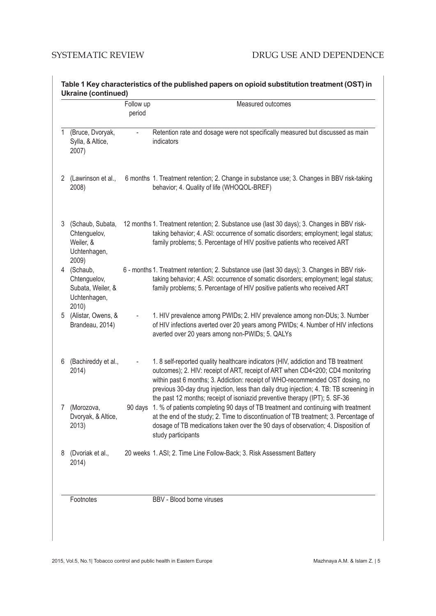# Drug uSe anD DepenDence

|              |                                                                                                                                                                                                                                                  | Follow up<br>period      | Measured outcomes                                                                                                                                                                                                                                                                                                                                                                                                             |
|--------------|--------------------------------------------------------------------------------------------------------------------------------------------------------------------------------------------------------------------------------------------------|--------------------------|-------------------------------------------------------------------------------------------------------------------------------------------------------------------------------------------------------------------------------------------------------------------------------------------------------------------------------------------------------------------------------------------------------------------------------|
| $\mathbf{1}$ | (Bruce, Dvoryak,<br>Sylla, & Altice,<br>2007)                                                                                                                                                                                                    | $\overline{\phantom{a}}$ | Retention rate and dosage were not specifically measured but discussed as main<br>indicators                                                                                                                                                                                                                                                                                                                                  |
|              | 2 (Lawrinson et al.,<br>2008)                                                                                                                                                                                                                    |                          | 6 months 1. Treatment retention; 2. Change in substance use; 3. Changes in BBV risk-taking<br>behavior; 4. Quality of life (WHOQOL-BREF)                                                                                                                                                                                                                                                                                      |
| 3            | (Schaub, Subata,<br>12 months 1. Treatment retention; 2. Substance use (last 30 days); 3. Changes in BBV risk-<br>Chtenguelov,<br>Weiler, &<br>family problems; 5. Percentage of HIV positive patients who received ART<br>Uchtenhagen,<br>2009) |                          | taking behavior; 4. ASI: occurrence of somatic disorders; employment; legal status;                                                                                                                                                                                                                                                                                                                                           |
| 4            | (Schaub,<br>Chtenguelov,<br>Subata, Weiler, &<br>Uchtenhagen,<br>2010)                                                                                                                                                                           |                          | 6 - months 1. Treatment retention; 2. Substance use (last 30 days); 3. Changes in BBV risk-<br>taking behavior; 4. ASI: occurrence of somatic disorders; employment; legal status;<br>family problems; 5. Percentage of HIV positive patients who received ART                                                                                                                                                                |
| 5            | (Alistar, Owens, &<br>Brandeau, 2014)                                                                                                                                                                                                            |                          | 1. HIV prevalence among PWIDs; 2. HIV prevalence among non-DUs; 3. Number<br>of HIV infections averted over 20 years among PWIDs; 4. Number of HIV infections<br>averted over 20 years among non-PWIDs; 5. QALYs                                                                                                                                                                                                              |
| 6            | (Bachireddy et al.,<br>2014)                                                                                                                                                                                                                     |                          | 1. 8 self-reported quality healthcare indicators (HIV, addiction and TB treatment<br>outcomes); 2. HIV: receipt of ART, receipt of ART when CD4<200; CD4 monitoring<br>within past 6 months; 3. Addiction: receipt of WHO-recommended OST dosing, no<br>previous 30-day drug injection, less than daily drug injection; 4. TB: TB screening in<br>the past 12 months; receipt of isoniazid preventive therapy (IPT); 5. SF-36 |
|              | (Morozova,<br>Dvoryak, & Altice,<br>2013)                                                                                                                                                                                                        | 90 days                  | 1. % of patients completing 90 days of TB treatment and continuing with treatment<br>at the end of the study; 2. Time to discontinuation of TB treatment; 3. Percentage of<br>dosage of TB medications taken over the 90 days of observation; 4. Disposition of<br>study participants                                                                                                                                         |
| 8            | (Dvoriak et al.,<br>2014)                                                                                                                                                                                                                        |                          | 20 weeks 1. ASI; 2. Time Line Follow-Back; 3. Risk Assessment Battery                                                                                                                                                                                                                                                                                                                                                         |
|              | Footnotes                                                                                                                                                                                                                                        |                          | BBV - Blood borne viruses                                                                                                                                                                                                                                                                                                                                                                                                     |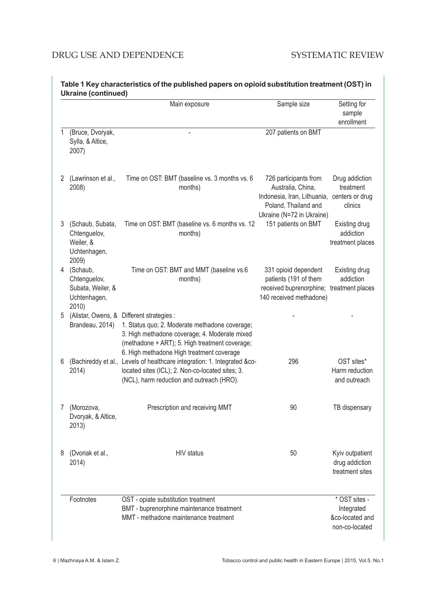# SYSTEMATIC REVIEW

|                |                                                                        | Main exposure                                                                                                                                                                                                                               | Sample size                                                                                                                                    | Setting for<br>sample<br>enrollment                              |
|----------------|------------------------------------------------------------------------|---------------------------------------------------------------------------------------------------------------------------------------------------------------------------------------------------------------------------------------------|------------------------------------------------------------------------------------------------------------------------------------------------|------------------------------------------------------------------|
|                | (Bruce, Dvoryak,<br>Sylla, & Altice,<br>2007)                          |                                                                                                                                                                                                                                             | 207 patients on BMT                                                                                                                            |                                                                  |
| $\overline{2}$ | (Lawrinson et al.,<br>2008)                                            | Time on OST: BMT (baseline vs. 3 months vs. 6<br>months)                                                                                                                                                                                    | 726 participants from<br>Australia, China,<br>Indonesia, Iran, Lithuania, centers or drug<br>Poland, Thailand and<br>Ukraine (N=72 in Ukraine) | Drug addiction<br>treatment<br>clinics                           |
| 3              | (Schaub, Subata,<br>Chtenguelov,<br>Weiler, &<br>Uchtenhagen,<br>2009) | Time on OST: BMT (baseline vs. 6 months vs. 12<br>months)                                                                                                                                                                                   | 151 patients on BMT                                                                                                                            | Existing drug<br>addiction<br>treatment places                   |
| 4              | (Schaub,<br>Chtenguelov,<br>Subata, Weiler, &<br>Uchtenhagen,<br>2010) | Time on OST: BMT and MMT (baseline vs.6<br>months)                                                                                                                                                                                          | 331 opioid dependent<br>patients (191 of them<br>received buprenorphine; treatment places<br>140 received methadone)                           | Existing drug<br>addiction                                       |
| 5              | Brandeau, 2014)                                                        | (Alistar, Owens, & Different strategies :<br>1. Status quo; 2. Moderate methadone coverage;<br>3. High methadone coverage; 4. Moderate mixed<br>(methadone + ART); 5. High treatment coverage;<br>6. High methadone High treatment coverage |                                                                                                                                                |                                                                  |
| 6              | 2014)                                                                  | (Bachireddy et al., Levels of healthcare integration: 1. Integrated &co-<br>located sites (ICL); 2. Non-co-located sites; 3.<br>(NCL), harm reduction and outreach (HRO).                                                                   | 296                                                                                                                                            | OST sites*<br>Harm reduction<br>and outreach                     |
| 7              | (Morozova,<br>Dvoryak, & Altice,<br>2013)                              | Prescription and receiving MMT                                                                                                                                                                                                              | 90                                                                                                                                             | TB dispensary                                                    |
| 8              | (Dvoriak et al.,<br>2014)                                              | <b>HIV</b> status                                                                                                                                                                                                                           | 50                                                                                                                                             | Kyiv outpatient<br>drug addiction<br>treatment sites             |
|                | Footnotes                                                              | OST - opiate substitution treatment<br>BMT - buprenorphine maintenance treatment<br>MMT - methadone maintenance treatment                                                                                                                   |                                                                                                                                                | * OST sites -<br>Integrated<br>&co-located and<br>non-co-located |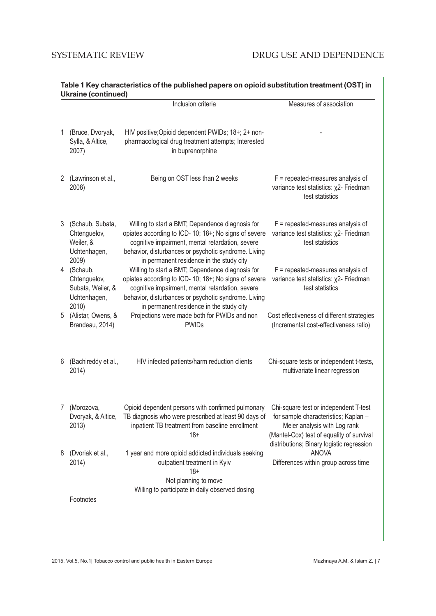# Drug uSe anD DepenDence

|   |                                                                        | Inclusion criteria                                                                                                                                                                                                                                               | Measures of association                                                                                                |
|---|------------------------------------------------------------------------|------------------------------------------------------------------------------------------------------------------------------------------------------------------------------------------------------------------------------------------------------------------|------------------------------------------------------------------------------------------------------------------------|
|   | (Bruce, Dvoryak,<br>Sylla, & Altice,<br>2007)                          | HIV positive; Opioid dependent PWIDs; 18+; 2+ non-<br>pharmacological drug treatment attempts; Interested<br>in buprenorphine                                                                                                                                    | $\qquad \qquad \blacksquare$                                                                                           |
|   | 2 (Lawrinson et al.,<br>2008)                                          | Being on OST less than 2 weeks                                                                                                                                                                                                                                   | $F =$ repeated-measures analysis of<br>variance test statistics: x2- Friedman<br>test statistics                       |
| 3 | (Schaub, Subata,<br>Chtenguelov,<br>Weiler, &<br>Uchtenhagen,<br>2009) | Willing to start a BMT; Dependence diagnosis for<br>opiates according to ICD-10; 18+; No signs of severe<br>cognitive impairment, mental retardation, severe<br>behavior, disturbances or psychotic syndrome. Living<br>in permanent residence in the study city | $F =$ repeated-measures analysis of<br>variance test statistics: x2- Friedman<br>test statistics                       |
| 4 | (Schaub,<br>Chtenguelov,<br>Subata, Weiler, &<br>Uchtenhagen,<br>2010) | Willing to start a BMT; Dependence diagnosis for<br>opiates according to ICD-10; 18+; No signs of severe<br>cognitive impairment, mental retardation, severe<br>behavior, disturbances or psychotic syndrome. Living<br>in permanent residence in the study city | $F =$ repeated-measures analysis of<br>variance test statistics: x2- Friedman<br>test statistics                       |
| 5 | (Alistar, Owens, &<br>Brandeau, 2014)                                  | Projections were made both for PWIDs and non<br><b>PWIDs</b>                                                                                                                                                                                                     | Cost effectiveness of different strategies<br>(Incremental cost-effectiveness ratio)                                   |
| 6 | (Bachireddy et al.,<br>2014)                                           | HIV infected patients/harm reduction clients                                                                                                                                                                                                                     | Chi-square tests or independent t-tests,<br>multivariate linear regression                                             |
| 7 | (Morozova,<br>Dvoryak, & Altice,<br>2013)                              | Opioid dependent persons with confirmed pulmonary Chi-square test or independent T-test<br>TB diagnosis who were prescribed at least 90 days of for sample characteristics; Kaplan -<br>inpatient TB treatment from baseline enrollment<br>$18+$                 | Meier analysis with Log rank<br>(Mantel-Cox) test of equality of survival<br>distributions; Binary logistic regression |
| 8 | (Dvoriak et al.,<br>2014)                                              | 1 year and more opioid addicted individuals seeking<br>outpatient treatment in Kyiv<br>$18+$                                                                                                                                                                     | <b>ANOVA</b><br>Differences within group across time                                                                   |
|   |                                                                        | Not planning to move<br>Willing to participate in daily observed dosing                                                                                                                                                                                          |                                                                                                                        |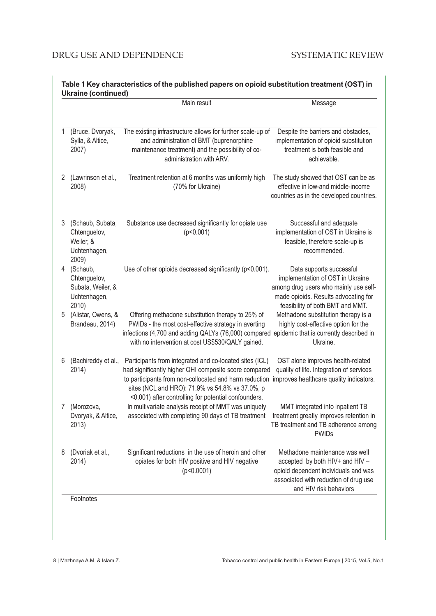|                       |                                                                        | Main result                                                                                                                                                                                                                                                                                                                   | Message                                                                                                                                                                           |
|-----------------------|------------------------------------------------------------------------|-------------------------------------------------------------------------------------------------------------------------------------------------------------------------------------------------------------------------------------------------------------------------------------------------------------------------------|-----------------------------------------------------------------------------------------------------------------------------------------------------------------------------------|
| 1                     | (Bruce, Dvoryak,<br>Sylla, & Altice,<br>2007)                          | The existing infrastructure allows for further scale-up of<br>and administration of BMT (buprenorphine<br>maintenance treatment) and the possibility of co-<br>administration with ARV.                                                                                                                                       | Despite the barriers and obstacles,<br>implementation of opioid substitution<br>treatment is both feasible and<br>achievable.                                                     |
| $\mathbf{2}^{\prime}$ | (Lawrinson et al.,<br>2008)                                            | Treatment retention at 6 months was uniformly high<br>(70% for Ukraine)                                                                                                                                                                                                                                                       | The study showed that OST can be as<br>effective in low-and middle-income<br>countries as in the developed countries.                                                             |
| 3                     | (Schaub, Subata,<br>Chtenguelov,<br>Weiler, &<br>Uchtenhagen,<br>2009) | Substance use decreased significantly for opiate use<br>(p<0.001)                                                                                                                                                                                                                                                             | Successful and adequate<br>implementation of OST in Ukraine is<br>feasible, therefore scale-up is<br>recommended.                                                                 |
| 4                     | (Schaub,<br>Chtenguelov,<br>Subata, Weiler, &<br>Uchtenhagen,<br>2010) | Use of other opioids decreased significantly (p<0.001).                                                                                                                                                                                                                                                                       | Data supports successful<br>implementation of OST in Ukraine<br>among drug users who mainly use self-<br>made opioids. Results advocating for<br>feasibility of both BMT and MMT. |
| 5                     | (Alistar, Owens, &<br>Brandeau, 2014)                                  | Offering methadone substitution therapy to 25% of<br>PWIDs - the most cost-effective strategy in averting<br>infections (4,700 and adding QALYs (76,000) compared epidemic that is currently described in<br>with no intervention at cost US\$530/QALY gained.                                                                | Methadone substitution therapy is a<br>highly cost-effective option for the<br>Ukraine.                                                                                           |
| 6                     | (Bachireddy et al.,<br>2014)                                           | Participants from integrated and co-located sites (ICL)<br>had significantly higher QHI composite score compared<br>to participants from non-collocated and harm reduction improves healthcare quality indicators.<br>sites (NCL and HRO): 71.9% vs 54.8% vs 37.0%, p<br><0.001) after controlling for potential confounders. | OST alone improves health-related<br>quality of life. Integration of services                                                                                                     |
| 7                     | (Morozova,<br>Dvoryak, & Altice,<br>2013)                              | In multivariate analysis receipt of MMT was uniquely<br>associated with completing 90 days of TB treatment treatment greatly improves retention in                                                                                                                                                                            | MMT integrated into inpatient TB<br>TB treatment and TB adherence among<br><b>PWIDs</b>                                                                                           |
| 8                     | (Dvoriak et al.,<br>2014)                                              | Significant reductions in the use of heroin and other<br>opiates for both HIV positive and HIV negative<br>(p<0.0001)                                                                                                                                                                                                         | Methadone maintenance was well<br>accepted by both HIV+ and HIV -<br>opioid dependent individuals and was<br>associated with reduction of drug use<br>and HIV risk behaviors      |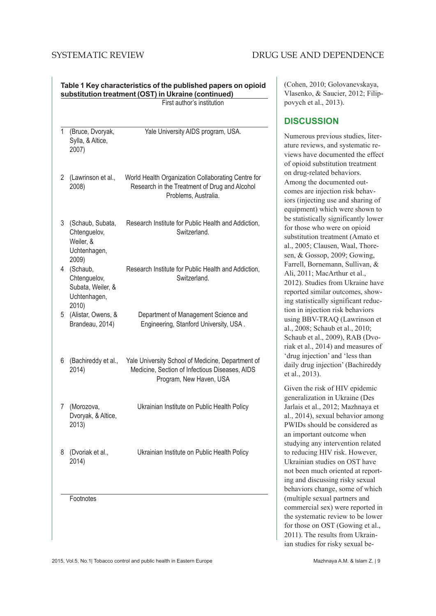# Drug uSe anD DepenDence

#### **table 1 Key characteristics of the published papers on opioid substitution treatment (oSt) in ukraine (continued)** First author's institution

| $\mathbf{1}$ | (Bruce, Dvoryak,<br>Sylla, & Altice,<br>2007)                            | Yale University AIDS program, USA.                                                                                             |
|--------------|--------------------------------------------------------------------------|--------------------------------------------------------------------------------------------------------------------------------|
| 2            | (Lawrinson et al.,<br>2008)                                              | World Health Organization Collaborating Centre for<br>Research in the Treatment of Drug and Alcohol<br>Problems, Australia.    |
| 3            | (Schaub, Subata,<br>Chtenguelov,<br>Weiler, &<br>Uchtenhagen,<br>2009)   | Research Institute for Public Health and Addiction,<br>Switzerland.                                                            |
|              | 4 (Schaub,<br>Chtenguelov,<br>Subata, Weiler, &<br>Uchtenhagen,<br>2010) | Research Institute for Public Health and Addiction,<br>Switzerland.                                                            |
| 5            | (Alistar, Owens, &<br>Brandeau, 2014)                                    | Department of Management Science and<br>Engineering, Stanford University, USA.                                                 |
| 6            | (Bachireddy et al.,<br>2014)                                             | Yale University School of Medicine, Department of<br>Medicine, Section of Infectious Diseases, AIDS<br>Program, New Haven, USA |
| 7            | (Morozova,<br>Dvoryak, & Altice,<br>2013)                                | Ukrainian Institute on Public Health Policy                                                                                    |
| 8            | (Dvoriak et al.,<br>2014)                                                | Ukrainian Institute on Public Health Policy                                                                                    |
|              | Footnotes                                                                |                                                                                                                                |
|              |                                                                          |                                                                                                                                |

(Cohen, 2010; Golovanevskaya, Vlasenko, & Saucier, 2012; Filippovych et al., 2013).

# **dIScuSSIon**

Numerous previous studies, literature reviews, and systematic reviews have documented the effect of opioid substitution treatment on drug-related behaviors. Among the documented outcomes are injection risk behaviors (injecting use and sharing of equipment) which were shown to be statistically significantly lower for those who were on opioid substitution treatment (Amato et al., 2005; Clausen, Waal, Thoresen, & Gossop, 2009; Gowing, Farrell, Bornemann, Sullivan, & Ali, 2011; MacArthur et al., 2012). Studies from Ukraine have reported similar outcomes, showing statistically significant reduction in injection risk behaviors using BBV-TRAQ (Lawrinson et al., 2008; Schaub et al., 2010; Schaub et al., 2009), RAB (Dvoriak et al., 2014) and measures of 'drug injection' and 'less than daily drug injection' (Bachireddy et al., 2013).

Given the risk of HIV epidemic generalization in Ukraine (Des Jarlais et al., 2012; Mazhnaya et al., 2014), sexual behavior among PWIDs should be considered as an important outcome when studying any intervention related to reducing HIV risk. However, Ukrainian studies on OST have not been much oriented at reporting and discussing risky sexual behaviors change, some of which (multiple sexual partners and commercial sex) were reported in the systematic review to be lower for those on OST (Gowing et al., 2011). The results from Ukrainian studies for risky sexual be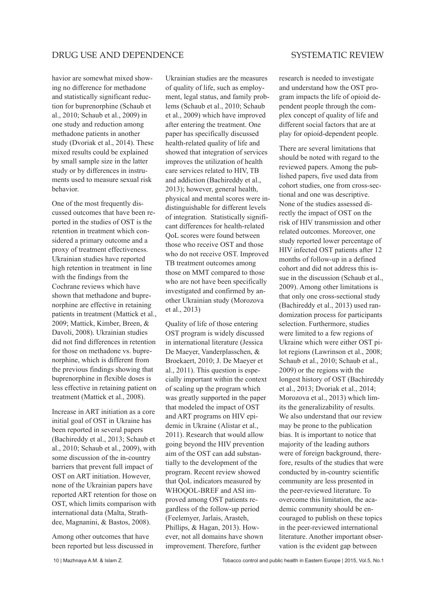havior are somewhat mixed showing no difference for methadone and statistically significant reduction for buprenorphine (Schaub et al., 2010; Schaub et al., 2009) in one study and reduction among methadone patients in another study (Dvoriak et al., 2014). These mixed results could be explained by small sample size in the latter study or by differences in instruments used to measure sexual risk behavior.

One of the most frequently discussed outcomes that have been reported in the studies of OST is the retention in treatment which considered a primary outcome and a proxy of treatment effectiveness. Ukrainian studies have reported high retention in treatment in line with the findings from the Cochrane reviews which have shown that methadone and buprenorphine are effective in retaining patients in treatment (Mattick et al., 2009; Mattick, Kimber, Breen, & Davoli, 2008). Ukrainian studies did not find differences in retention for those on methadone vs. buprenorphine, which is different from the previous findings showing that buprenorphine in flexible doses is less effective in retaining patient on treatment (Mattick et al., 2008).

Increase in ART initiation as a core initial goal of OST in Ukraine has been reported in several papers (Bachireddy et al., 2013; Schaub et al., 2010; Schaub et al., 2009), with some discussion of the in-country barriers that prevent full impact of OST on ART initiation. However, none of the Ukrainian papers have reported ART retention for those on OST, which limits comparison with international data (Malta, Strathdee, Magnanini, & Bastos, 2008).

Among other outcomes that have been reported but less discussed in Ukrainian studies are the measures of quality of life, such as employment, legal status, and family problems (Schaub et al., 2010; Schaub et al., 2009) which have improved after entering the treatment. One paper has specifically discussed health-related quality of life and showed that integration of services improves the utilization of health care services related to HIV, TB and addiction (Bachireddy et al., 2013); however, general health, physical and mental scores were indistinguishable for different levels of integration. Statistically significant differences for health-related QoL scores were found between those who receive OST and those who do not receive OST. Improved TB treatment outcomes among those on MMT compared to those who are not have been specifically investigated and confirmed by another Ukrainian study (Morozova et al., 2013)

Quality of life of those entering OST program is widely discussed in international literature (Jessica De Maeyer, Vanderplasschen, & Broekaert, 2010; J. De Maeyer et al., 2011). This question is especially important within the context of scaling up the program which was greatly supported in the paper that modeled the impact of OST and ART programs on HIV epidemic in Ukraine (Alistar et al., 2011). Research that would allow going beyond the HIV prevention aim of the OST can add substantially to the development of the program. Recent review showed that QoL indicators measured by WHOQOL-BREF and ASI improved among OST patients regardless of the follow-up period (Feelemyer, Jarlais, Arasteh, Phillips, & Hagan, 2013). However, not all domains have shown improvement. Therefore, further

#### SyStematic review

research is needed to investigate and understand how the OST program impacts the life of opioid dependent people through the complex concept of quality of life and different social factors that are at play for opioid-dependent people.

There are several limitations that should be noted with regard to the reviewed papers. Among the published papers, five used data from cohort studies, one from cross-sectional and one was descriptive. None of the studies assessed directly the impact of OST on the risk of HIV transmission and other related outcomes. Moreover, one study reported lower percentage of HIV infected OST patients after 12 months of follow-up in a defined cohort and did not address this issue in the discussion (Schaub et al., 2009). Among other limitations is that only one cross-sectional study (Bachireddy et al., 2013) used randomization process for participants selection. Furthermore, studies were limited to a few regions of Ukraine which were either OST pilot regions (Lawrinson et al., 2008; Schaub et al., 2010; Schaub et al., 2009) or the regions with the longest history of OST (Bachireddy et al., 2013; Dvoriak et al., 2014; Morozova et al., 2013) which limits the generalizability of results. We also understand that our review may be prone to the publication bias. It is important to notice that majority of the leading authors were of foreign background, therefore, results of the studies that were conducted by in-country scientific community are less presented in the peer-reviewed literature. To overcome this limitation, the academic community should be encouraged to publish on these topics in the peer-reviewed international literature. Another important observation is the evident gap between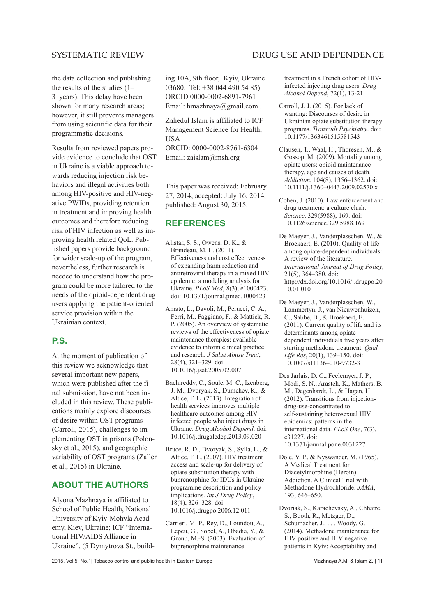the data collection and publishing the results of the studies (1– 3 years). This delay have been shown for many research areas; however, it still prevents managers from using scientific data for their programmatic decisions.

Results from reviewed papers provide evidence to conclude that OST in Ukraine is a viable approach towards reducing injection risk behaviors and illegal activities both among HIV-positive and HIV-negative PWIDs, providing retention in treatment and improving health outcomes and therefore reducing risk of HIV infection as well as improving health related QoL. Published papers provide background for wider scale-up of the program, nevertheless, further research is needed to understand how the program could be more tailored to the needs of the opioid-dependent drug users applying the patient-oriented service provision within the Ukrainian context.

# **P.S.**

At the moment of publication of this review we acknowledge that several important new papers, which were published after the final submission, have not been included in this review. These publications mainly explore discourses of desire within OST programs (Carroll, 2015), challenges to implementing OST in prisons (Polonsky et al., 2015), and geographic variability of OST programs (Zaller et al., 2015) in Ukraine.

### **About the AuthorS**

Alyona Mazhnaya is affiliated to School of Public Health, National University of Kyiv-Mohyla Academy, Kiev, Ukraine; ICF "International HIV/AIDS Alliance in Ukraine", (5 Dymytrova St., building 10A, 9th floor, Kyiv, Ukraine 03680. Tel: +38 044 490 54 85) ORCID 0000-0002-6891-7961 Email: hmazhnaya@gmail.com .

Zahedul Islam is affiliated to ICF Management Science for Health, **USA** ORCID: 0000-0002-8761-6304 Email: zaislam@msh.org

This paper was received: February 27, 2014; accepted: July 16, 2014; published: August 30, 2015.

## **reFerenceS**

- Alistar, S. S., Owens, D. K., & Brandeau, M. L. (2011). Effectiveness and cost effectiveness of expanding harm reduction and antiretroviral therapy in a mixed HIV epidemic: a modeling analysis for Ukraine. *PLoS Med*, 8(3), e1000423. doi: 10.1371/journal.pmed.1000423
- Amato, L., Davoli, M., Perucci, C. A., Ferri, M., Faggiano, F., & Mattick, R. P. (2005). An overview of systematic reviews of the effectiveness of opiate maintenance therapies: available evidence to inform clinical practice and research. *J Subst Abuse Treat*, 28(4), 321–329. doi: 10.1016/j.jsat.2005.02.007
- Bachireddy, C., Soule, M. C., Izenberg, J. M., Dvoryak, S., Dumchev, K., & Altice, F. L. (2013). Integration of health services improves multiple healthcare outcomes among HIVinfected people who inject drugs in Ukraine. *Drug Alcohol Depend*. doi: 10.1016/j.drugalcdep.2013.09.020
- Bruce, R. D., Dvoryak, S., Sylla, L., & Altice, F. L. (2007). HIV treatment access and scale-up for delivery of opiate substitution therapy with buprenorphine for IDUs in Ukraine- programme description and policy implications. *Int J Drug Policy*, 18(4), 326–328. doi: 10.1016/j.drugpo.2006.12.011
- Carrieri, M. P., Rey, D., Loundou, A., Lepeu, G., Sobel, A., Obadia, Y., & Group, M.-S. (2003). Evaluation of buprenorphine maintenance

treatment in a French cohort of HIVinfected injecting drug users. *Drug Alcohol Depend*, 72(1), 13-21.

- Carroll, J. J. (2015). For lack of wanting: Discourses of desire in Ukrainian opiate substitution therapy programs. *Transcult Psychiatry*. doi: 10.1177/1363461515581543
- Clausen, T., Waal, H., Thoresen, M., & Gossop, M. (2009). Mortality among opiate users: opioid maintenance therapy, age and causes of death. *Addiction*, 104(8), 1356–1362. doi: 10.1111/j.1360–0443.2009.02570.x
- Cohen, J. (2010). Law enforcement and drug treatment: a culture clash. *Science*, 329(5988), 169. doi: 10.1126/science.329.5988.169
- De Maeyer, J., Vanderplasschen, W., & Broekaert, E. (2010). Quality of life among opiate-dependent individuals: A review of the literature. *International Journal of Drug Policy*, 21(5), 364–380. doi: http://dx.doi.org/10.1016/j.drugpo.20 10.01.010

De Maeyer, J., Vanderplasschen, W., Lammertyn, J., van Nieuwenhuizen, C., Sabbe, B., & Broekaert, E. (2011). Current quality of life and its determinants among opiatedependent individuals five years after starting methadone treatment. *Qual Life Res*, 20(1), 139–150. doi: 10.1007/s11136–010-9732-3

Des Jarlais, D. C., Feelemyer, J. P., Modi, S. N., Arasteh, K., Mathers, B. M., Degenhardt, L., & Hagan, H. (2012). Transitions from injectiondrug-use-concentrated to self-sustaining heterosexual HIV epidemics: patterns in the international data. *PLoS One*, 7(3), e31227. doi: 10.1371/journal.pone.0031227

Dole, V. P., & Nyswander, M. (1965). A Medical Treatment for Diacetylmorphine (Heroin) Addiction. A Clinical Trial with Methadone Hydrochloride. *JAMA*, 193, 646–650.

Dvoriak, S., Karachevsky, A., Chhatre, S., Booth, R., Metzger, D., Schumacher, J., . . . Woody, G. (2014). Methadone maintenance for HIV positive and HIV negative patients in Kyiv: Acceptability and

2015, Vol.5, No.1| Tobacco control and public health in Eastern Europe Mazhnaya A.M. & Islam Z. | 11